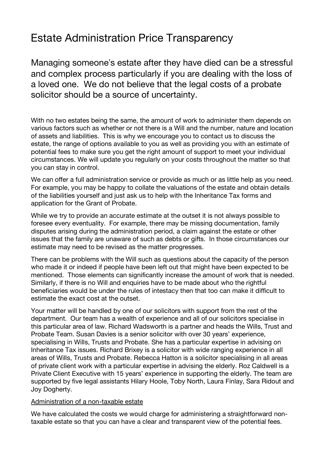# Estate Administration Price Transparency

Managing someone's estate after they have died can be a stressful and complex process particularly if you are dealing with the loss of a loved one. We do not believe that the legal costs of a probate solicitor should be a source of uncertainty.

With no two estates being the same, the amount of work to administer them depends on various factors such as whether or not there is a Will and the number, nature and location of assets and liabilities. This is why we encourage you to contact us to discuss the estate, the range of options available to you as well as providing you with an estimate of potential fees to make sure you get the right amount of support to meet your individual circumstances. We will update you regularly on your costs throughout the matter so that you can stay in control.

We can offer a full administration service or provide as much or as little help as you need. For example, you may be happy to collate the valuations of the estate and obtain details of the liabilities yourself and just ask us to help with the Inheritance Tax forms and application for the Grant of Probate.

While we try to provide an accurate estimate at the outset it is not always possible to foresee every eventuality. For example, there may be missing documentation, family disputes arising during the administration period, a claim against the estate or other issues that the family are unaware of such as debts or gifts. In those circumstances our estimate may need to be revised as the matter progresses.

There can be problems with the Will such as questions about the capacity of the person who made it or indeed if people have been left out that might have been expected to be mentioned. Those elements can significantly increase the amount of work that is needed. Similarly, if there is no Will and enquiries have to be made about who the rightful beneficiaries would be under the rules of intestacy then that too can make it difficult to estimate the exact cost at the outset.

Your matter will be handled by one of our solicitors with support from the rest of the department. Our team has a wealth of experience and all of our solicitors specialise in this particular area of law. Richard Wadsworth is a partner and heads the Wills, Trust and Probate Team. Susan Davies is a senior solicitor with over 30 years' experience, specialising in Wills, Trusts and Probate. She has a particular expertise in advising on Inheritance Tax issues. Richard Brixey is a solicitor with wide ranging experience in all areas of Wills, Trusts and Probate. Rebecca Hatton is a solicitor specialising in all areas of private client work with a particular expertise in advising the elderly. Roz Caldwell is a Private Client Executive with 15 years' experience in supporting the elderly. The team are supported by five legal assistants Hilary Hoole, Toby North, Laura Finlay, Sara Ridout and Joy Dogherty.

#### Administration of a non-taxable estate

We have calculated the costs we would charge for administering a straightforward nontaxable estate so that you can have a clear and transparent view of the potential fees.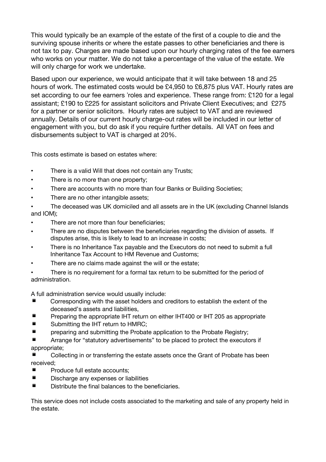This would typically be an example of the estate of the first of a couple to die and the surviving spouse inherits or where the estate passes to other beneficiaries and there is not tax to pay. Charges are made based upon our hourly charging rates of the fee earners who works on your matter. We do not take a percentage of the value of the estate. We will only charge for work we undertake.

Based upon our experience, we would anticipate that it will take between 18 and 25 hours of work. The estimated costs would be £4,950 to £6,875 plus VAT. Hourly rates are set according to our fee earners "roles and experience. These range from: £120 for a legal assistant; £190 to £225 for assistant solicitors and Private Client Executives; and £275 for a partner or senior solicitors. Hourly rates are subject to VAT and are reviewed annually. Details of our current hourly charge-out rates will be included in our letter of engagement with you, but do ask if you require further details. All VAT on fees and disbursements subject to VAT is charged at 20%.

This costs estimate is based on estates where:

- . There is a valid Will that does not contain any Trusts:
- There is no more than one property;
- ! There are accounts with no more than four Banks or Building Societies;
- There are no other intangible assets;
- The deceased was UK domiciled and all assets are in the UK (excluding Channel Islands and IOM);
- There are not more than four beneficiaries;
- There are no disputes between the beneficiaries regarding the division of assets. If disputes arise, this is likely to lead to an increase in costs;
- ! There is no Inheritance Tax payable and the Executors do not need to submit a full Inheritance Tax Account to HM Revenue and Customs;
- There are no claims made against the will or the estate;
- There is no requirement for a formal tax return to be submitted for the period of administration.

A full administration service would usually include:

- Corresponding with the asset holders and creditors to establish the extent of the deceased's assets and liabilities,
- Preparing the appropriate IHT return on either IHT400 or IHT 205 as appropriate
- Submitting the IHT return to HMRC;
- **E** preparing and submitting the Probate application to the Probate Registry;

■ Arrange for "statutory advertisements" to be placed to protect the executors if appropriate;

Collecting in or transferring the estate assets once the Grant of Probate has been received;

- Produce full estate accounts:
- Discharge any expenses or liabilities
- Distribute the final balances to the beneficiaries.

This service does not include costs associated to the marketing and sale of any property held in the estate.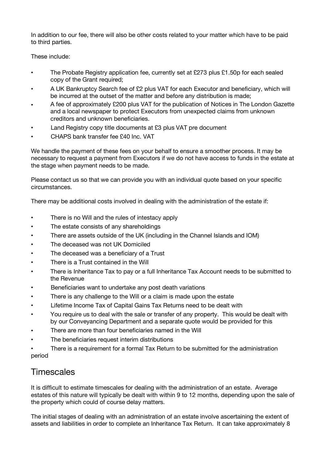In addition to our fee, there will also be other costs related to your matter which have to be paid to third parties.

These include:

- The Probate Registry application fee, currently set at £273 plus £1.50p for each sealed copy of the Grant required;
- ! A UK Bankruptcy Search fee of £2 plus VAT for each Executor and beneficiary, which will be incurred at the outset of the matter and before any distribution is made;
- ! A fee of approximately £200 plus VAT for the publication of Notices in The London Gazette and a local newspaper to protect Executors from unexpected claims from unknown creditors and unknown beneficiaries.
- Land Registry copy title documents at £3 plus VAT pre document
- ! CHAPS bank transfer fee £40 Inc. VAT

We handle the payment of these fees on your behalf to ensure a smoother process. It may be necessary to request a payment from Executors if we do not have access to funds in the estate at the stage when payment needs to be made.

Please contact us so that we can provide you with an individual quote based on your specific circumstances.

There may be additional costs involved in dealing with the administration of the estate if:

- There is no Will and the rules of intestacy apply
- The estate consists of any shareholdings
- ! There are assets outside of the UK (including in the Channel Islands and IOM)
- The deceased was not UK Domiciled
- The deceased was a beneficiary of a Trust
- There is a Trust contained in the Will
- There is Inheritance Tax to pay or a full Inheritance Tax Account needs to be submitted to the Revenue
- . Beneficiaries want to undertake any post death variations
- There is any challenge to the Will or a claim is made upon the estate
- Lifetime Income Tax of Capital Gains Tax Returns need to be dealt with
- You require us to deal with the sale or transfer of any property. This would be dealt with by our Conveyancing Department and a separate quote would be provided for this
- ! There are more than four beneficiaries named in the Will
- The beneficiaries request interim distributions
- There is a requirement for a formal Tax Return to be submitted for the administration period

## **Timescales**

It is difficult to estimate timescales for dealing with the administration of an estate. Average estates of this nature will typically be dealt with within 9 to 12 months, depending upon the sale of the property which could of course delay matters.

The initial stages of dealing with an administration of an estate involve ascertaining the extent of assets and liabilities in order to complete an Inheritance Tax Return. It can take approximately 8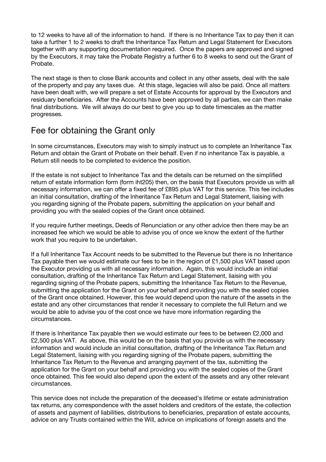to 12 weeks to have all of the information to hand. If there is no Inheritance Tax to pay then it can take a further 1 to 2 weeks to draft the Inheritance Tax Return and Legal Statement for Executors together with any supporting documentation required. Once the papers are approved and signed by the Executors, it may take the Probate Registry a further 6 to 8 weeks to send out the Grant of Probate.

The next stage is then to close Bank accounts and collect in any other assets, deal with the sale of the property and pay any taxes due. At this stage, legacies will also be paid. Once all matters have been dealt with, we will prepare a set of Estate Accounts for approval by the Executors and residuary beneficiaries. After the Accounts have been approved by all parties, we can then make final distributions. We will always do our best to give you up to date timescales as the matter progresses.

#### Fee for obtaining the Grant only

In some circumstances, Executors may wish to simply instruct us to complete an Inheritance Tax Return and obtain the Grant of Probate on their behalf. Even if no inheritance Tax is payable, a Return still needs to be completed to evidence the position.

If the estate is not subject to Inheritance Tax and the details can be returned on the simplified return of estate information form (form iht205) then, on the basis that Executors provide us with all necessary information, we can offer a fixed fee of £895 plus VAT for this service. This fee includes an initial consultation, drafting of the Inheritance Tax Return and Legal Statement, liaising with you regarding signing of the Probate papers, submitting the application on your behalf and providing you with the sealed copies of the Grant once obtained.

If you require further meetings, Deeds of Renunciation or any other advice then there may be an increased fee which we would be able to advise you of once we know the extent of the further work that you require to be undertaken.

If a full Inheritance Tax Account needs to be submitted to the Revenue but there is no Inheritance Tax payable then we would estimate our fees to be in the region of £1,500 plus VAT based upon the Executor providing us with all necessary information. Again, this would include an initial consultation, drafting of the Inheritance Tax Return and Legal Statement, liaising with you regarding signing of the Probate papers, submitting the Inheritance Tax Return to the Revenue, submitting the application for the Grant on your behalf and providing you with the sealed copies of the Grant once obtained. However, this fee would depend upon the nature of the assets in the estate and any other circumstances that render it necessary to complete the full Return and we would be able to advise you of the cost once we have more information regarding the circumstances.

If there is Inheritance Tax payable then we would estimate our fees to be between £2,000 and £2,500 plus VAT. As above, this would be on the basis that you provide us with the necessary information and would include an initial consultation, drafting of the Inheritance Tax Return and Legal Statement, liaising with you regarding signing of the Probate papers, submitting the Inheritance Tax Return to the Revenue and arranging payment of the tax, submitting the application for the Grant on your behalf and providing you with the sealed copies of the Grant once obtained. This fee would also depend upon the extent of the assets and any other relevant circumstances.

This service does not include the preparation of the deceased's lifetime or estate administration tax returns, any correspondence with the asset holders and creditors of the estate, the collection of assets and payment of liabilities, distributions to beneficiaries, preparation of estate accounts, advice on any Trusts contained within the Will, advice on implications of foreign assets and the